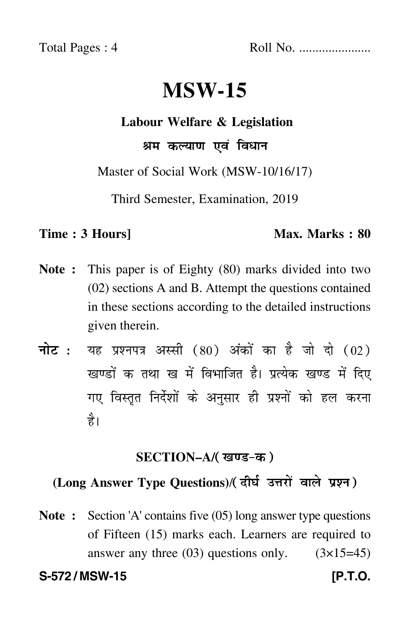Total Pages : 4 Roll No. ......................

# **MSW-15**

### **Labour Welfare & Legislation**

## श्रम कल्याण एवं विधान

Master of Social Work (MSW-10/16/17)

Third Semester, Examination, 2019

#### **Time : 3 Hours]** Max. Marks : 80

- **Note :** This paper is of Eighty (80) marks divided into two (02) sections A and B. Attempt the questions contained in these sections according to the detailed instructions given therein.
- नोट : यह प्रश्नपत्र अस्सी (80) अंकों का है जो दो (02) खण्डों क तथा ख में विभाजित है। प्रत्येक खण्ड में दिए गए विस्तृत निर्देशों के अनुसार ही प्रश्नों को हल करन<mark>ा</mark> है।

## **SECTION–A/**

## **(Long Answer Type Questions)**/

**Note :** Section 'A' contains five (05) long answer type questions of Fifteen (15) marks each. Learners are required to answer any three  $(03)$  questions only.  $(3\times15=45)$ 

**S-572 / MSW-15 [P.T.O.**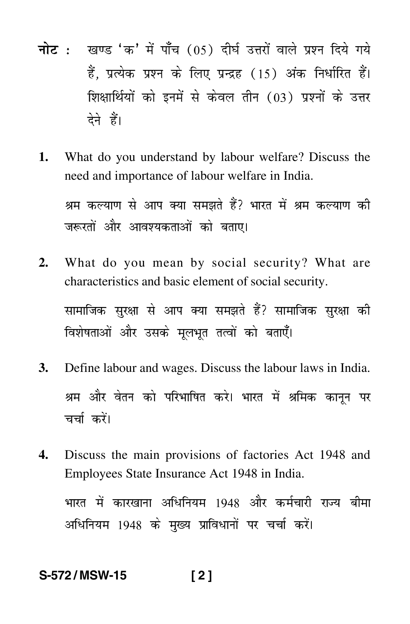- <mark>नोट</mark> : खण्ड 'क' में पाँच (05) दीर्घ उत्तरों वाले प्रश्न दिये गये हैं, प्रत्येक प्रश्न के लिए प्रन्द्रह (15) अंक निर्धारित हैं। शिक्षार्थियों को इनमें से केवल तीन (03) प्रश्नों के उत्तर देने हैं।
- **1.** What do you understand by labour welfare? Discuss the need and importance of labour welfare in India.

श्रम कल्याण से आप क्या समझते हैं? भारत में श्रम कल्याण की जरूरतों और आवश्यकताओं को बताए।

- **2.** What do you mean by social security? What are characteristics and basic element of social security. सामाजिक सुरक्षा से आप क्या समझते हैं? सामाजिक सुरक्षा की विशेषताओं और उसके मूलभूत तत्वों को बताएँ।
- **3.** Define labour and wages. Discuss the labour laws in India. श्रम और वेतन को परिभाषित करे। भारत में श्रमिक कानून पर चर्चा करे<mark>ं</mark>।
- **4.** Discuss the main provisions of factories Act 1948 and Employees State Insurance Act 1948 in India.

भारत में कारखाना अधिनियम 1948 और कर्मचारी राज्य बीमा अधिनियम 1948 के मुख्य प्राविधानों पर चर्चा करें।

## **S-572 / MSW-15 [ 2 ]**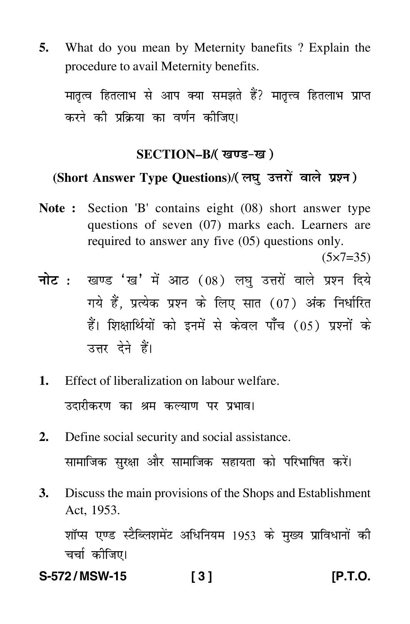What do you mean by Meternity banefits ? Explain the 5. procedure to avail Meternity benefits.

मातृत्व हितलाभ से आप क्या समझते हैं? मातृत्त्व हितलाभ प्राप्त करने की प्रक्रिया का वर्णन कीजिए।

## SECTION-B/(खण्ड-ख)

## (Short Answer Type Questions)/(लघु उत्तरों वाले प्रश्न)

Note: Section 'B' contains eight (08) short answer type questions of seven (07) marks each. Learners are required to answer any five (05) questions only.

 $(5x7=35)$ 

- नोट: खण्ड 'ख' में आठ (08) लघु उत्तरों वाले प्रश्न दिये गये हैं. प्रत्येक प्रश्न के लिए सात (07) अंक निर्धारित हैं। शिक्षार्थियों को इनमें से केवल पाँच (05) प्रश्नों के उत्तर देने हैं।
- Effect of liberalization on labour welfare.  $\mathbf{1}$ . उदारीकरण का श्रम कल्याण पर प्रभाव।
- Define social security and social assistance.  $2.$ सामाजिक सुरक्षा और सामाजिक सहायता को परिभाषित करें।
- $\mathbf{3}$ . Discuss the main provisions of the Shops and Establishment Act. 1953.

शॉप्स एण्ड स्टैब्लिशमेंट अधिनियम 1953 के मुख्य प्राविधानों की चर्चा कीजिए।

S-572/MSW-15  $131$  IP.T.O.